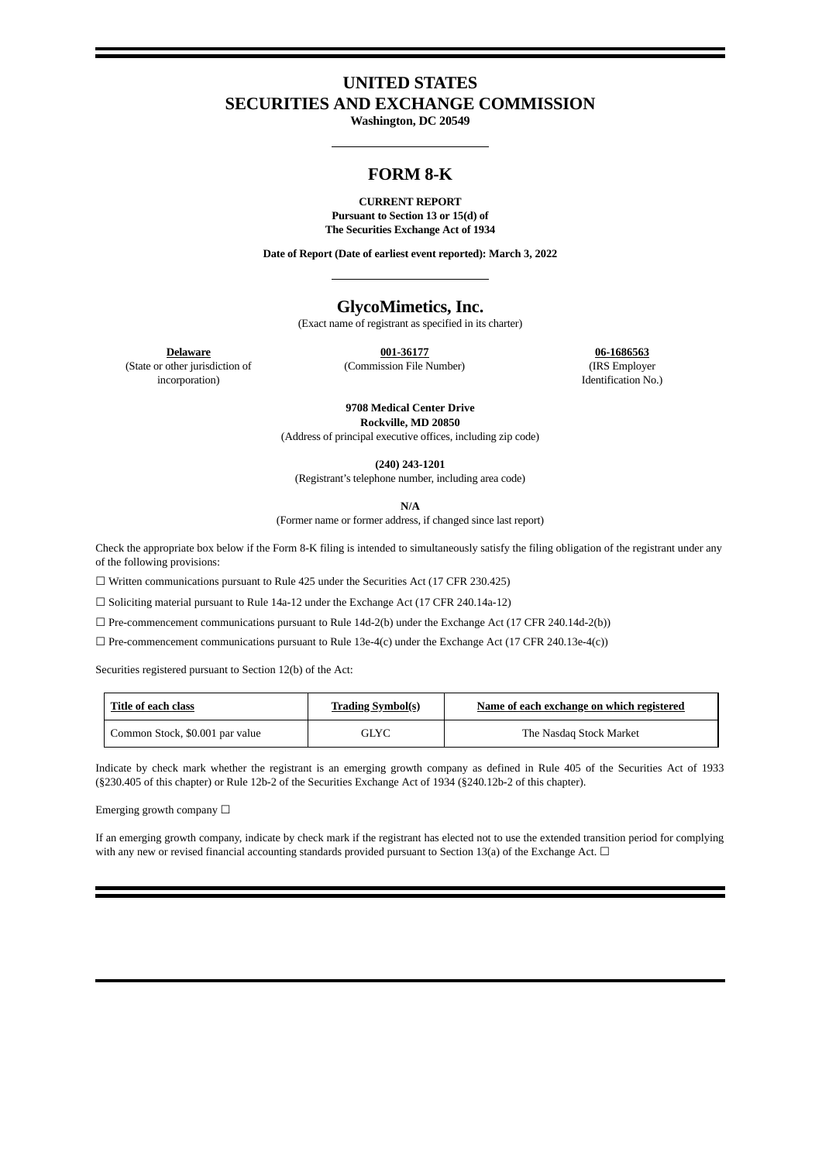# **UNITED STATES SECURITIES AND EXCHANGE COMMISSION**

**Washington, DC 20549**

## **FORM 8-K**

#### **CURRENT REPORT Pursuant to Section 13 or 15(d) of The Securities Exchange Act of 1934**

**Date of Report (Date of earliest event reported): March 3, 2022**

## **GlycoMimetics, Inc.**

(Exact name of registrant as specified in its charter)

**Delaware 001-36177 06-1686563** (Commission File Number) (IRS Employer

Identification No.)

(State or other jurisdiction of incorporation)

> **9708 Medical Center Drive Rockville, MD 20850**

(Address of principal executive offices, including zip code)

**(240) 243-1201**

(Registrant's telephone number, including area code)

**N/A**

(Former name or former address, if changed since last report)

Check the appropriate box below if the Form 8-K filing is intended to simultaneously satisfy the filing obligation of the registrant under any of the following provisions:

☐ Written communications pursuant to Rule 425 under the Securities Act (17 CFR 230.425)

☐ Soliciting material pursuant to Rule 14a-12 under the Exchange Act (17 CFR 240.14a-12)

 $\Box$  Pre-commencement communications pursuant to Rule 14d-2(b) under the Exchange Act (17 CFR 240.14d-2(b))

☐ Pre-commencement communications pursuant to Rule 13e-4(c) under the Exchange Act (17 CFR 240.13e-4(c))

Securities registered pursuant to Section 12(b) of the Act:

| Title of each class             | <b>Trading Symbol(s)</b> | Name of each exchange on which registered |  |  |  |  |
|---------------------------------|--------------------------|-------------------------------------------|--|--|--|--|
| Common Stock, \$0.001 par value | GLYC                     | The Nasdag Stock Market                   |  |  |  |  |

Indicate by check mark whether the registrant is an emerging growth company as defined in Rule 405 of the Securities Act of 1933 (§230.405 of this chapter) or Rule 12b-2 of the Securities Exchange Act of 1934 (§240.12b-2 of this chapter).

Emerging growth company  $\Box$ 

If an emerging growth company, indicate by check mark if the registrant has elected not to use the extended transition period for complying with any new or revised financial accounting standards provided pursuant to Section 13(a) of the Exchange Act. □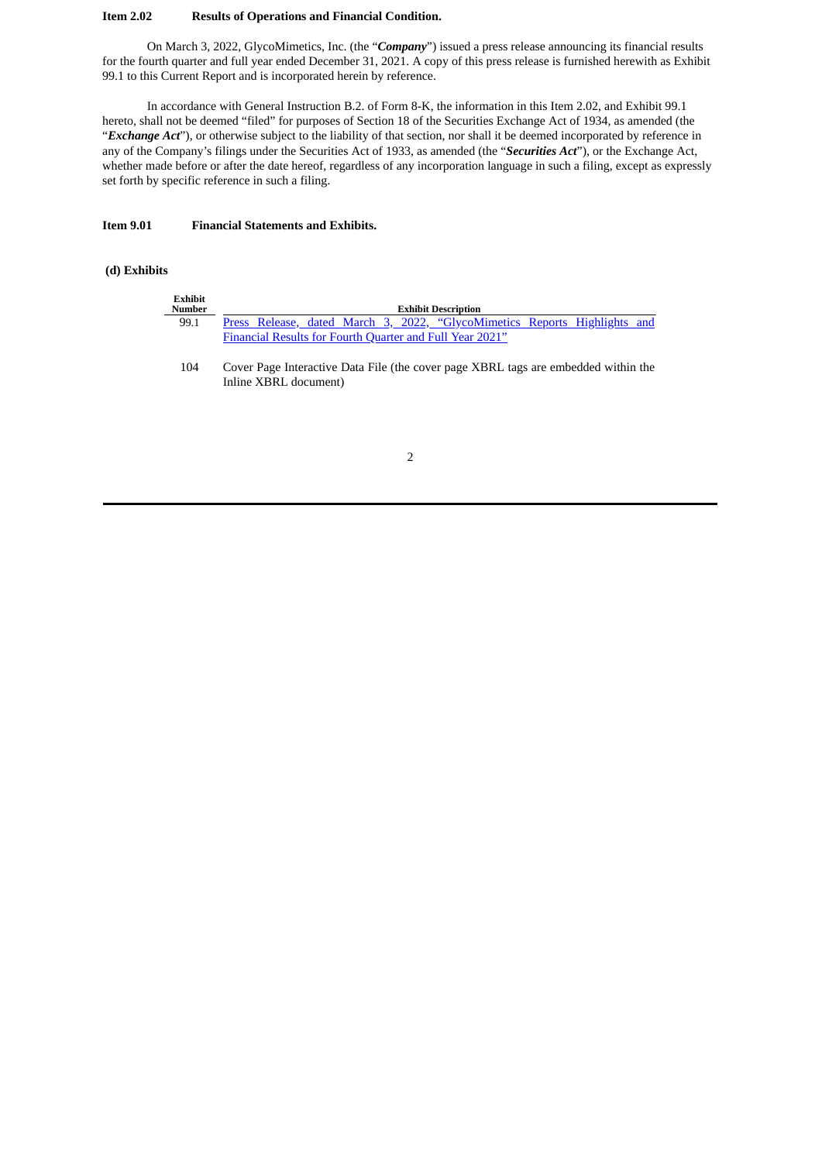#### **Item 2.02 Results of Operations and Financial Condition.**

On March 3, 2022, GlycoMimetics, Inc. (the "*Company*") issued a press release announcing its financial results for the fourth quarter and full year ended December 31, 2021. A copy of this press release is furnished herewith as Exhibit 99.1 to this Current Report and is incorporated herein by reference.

In accordance with General Instruction B.2. of Form 8-K, the information in this Item 2.02, and Exhibit 99.1 hereto, shall not be deemed "filed" for purposes of Section 18 of the Securities Exchange Act of 1934, as amended (the "*Exchange Act*"), or otherwise subject to the liability of that section, nor shall it be deemed incorporated by reference in any of the Company's filings under the Securities Act of 1933, as amended (the "*Securities Act*"), or the Exchange Act, whether made before or after the date hereof, regardless of any incorporation language in such a filing, except as expressly set forth by specific reference in such a filing.

#### **Item 9.01 Financial Statements and Exhibits.**

#### **(d) Exhibits**

| <b>Exhibit</b><br>Number | <b>Exhibit Description</b>                               |  |  |  |  |  |                                                                           |  |  |  |
|--------------------------|----------------------------------------------------------|--|--|--|--|--|---------------------------------------------------------------------------|--|--|--|
| 99.1                     |                                                          |  |  |  |  |  | Press Release, dated March 3, 2022, "GlycoMimetics Reports Highlights and |  |  |  |
|                          | Financial Results for Fourth Quarter and Full Year 2021" |  |  |  |  |  |                                                                           |  |  |  |

104 Cover Page Interactive Data File (the cover page XBRL tags are embedded within the Inline XBRL document)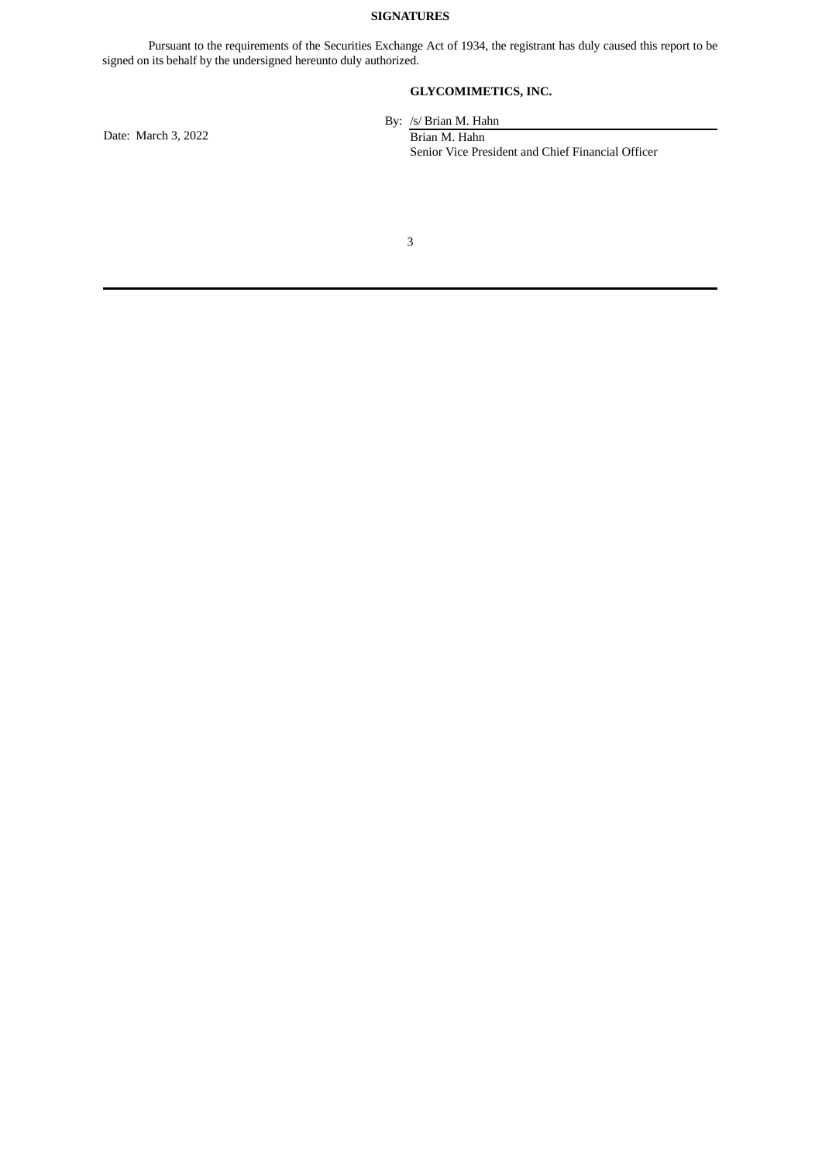## **SIGNATURES**

Pursuant to the requirements of the Securities Exchange Act of 1934, the registrant has duly caused this report to be signed on its behalf by the undersigned hereunto duly authorized.

## **GLYCOMIMETICS, INC.**

Date: March 3, 2022 Brian M. Hahn

By: /s/ Brian M. Hahn Senior Vice President and Chief Financial Officer

3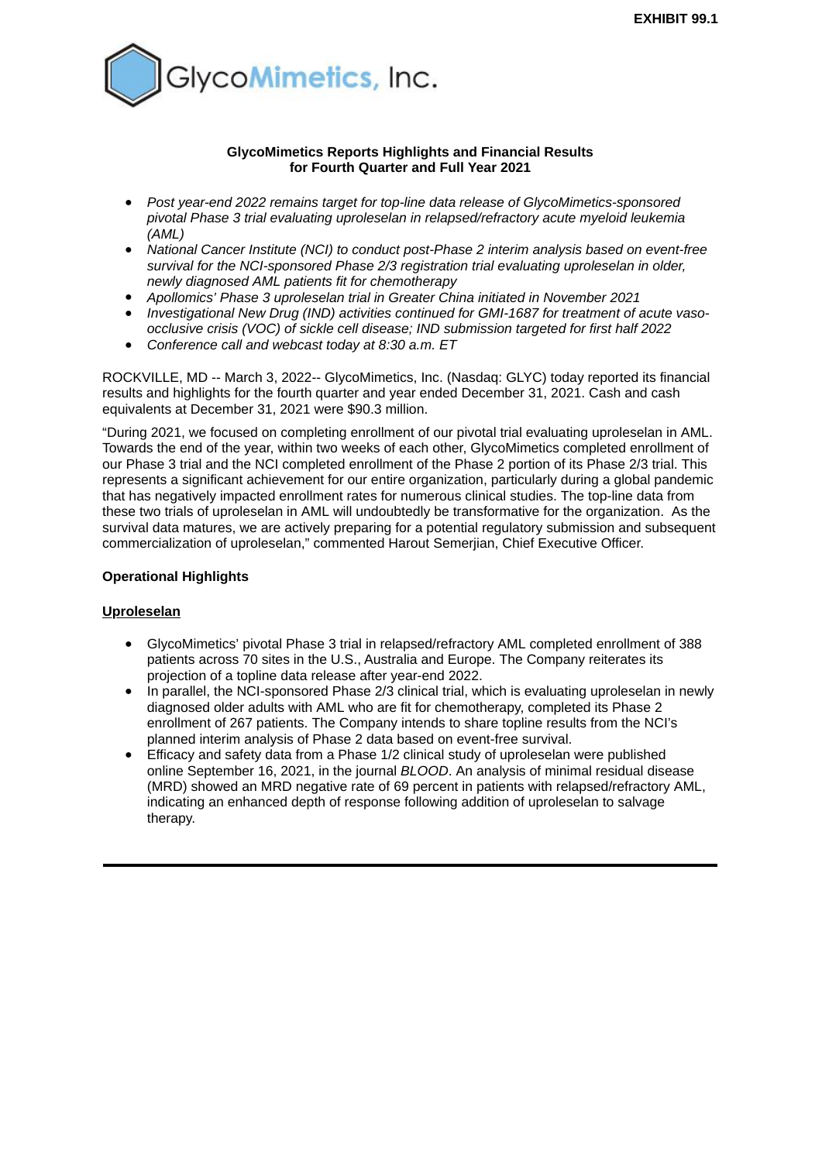<span id="page-3-0"></span>

### **GlycoMimetics Reports Highlights and Financial Results for Fourth Quarter and Full Year 2021**

- *Post year-end 2022 remains target for top-line data release of GlycoMimetics-sponsored pivotal Phase 3 trial evaluating uproleselan in relapsed/refractory acute myeloid leukemia (AML)*
- *National Cancer Institute (NCI) to conduct post-Phase 2 interim analysis based on event-free survival for the NCI-sponsored Phase 2/3 registration trial evaluating uproleselan in older, newly diagnosed AML patients fit for chemotherapy*
- *Apollomics' Phase 3 uproleselan trial in Greater China initiated in November 2021*
- *Investigational New Drug (IND) activities continued for GMI-1687 for treatment of acute vasoocclusive crisis (VOC) of sickle cell disease; IND submission targeted for first half 2022*
- *Conference call and webcast today at 8:30 a.m. ET*

ROCKVILLE, MD -- March 3, 2022-- GlycoMimetics, Inc. (Nasdaq: GLYC) today reported its financial results and highlights for the fourth quarter and year ended December 31, 2021. Cash and cash equivalents at December 31, 2021 were \$90.3 million.

"During 2021, we focused on completing enrollment of our pivotal trial evaluating uproleselan in AML. Towards the end of the year, within two weeks of each other, GlycoMimetics completed enrollment of our Phase 3 trial and the NCI completed enrollment of the Phase 2 portion of its Phase 2/3 trial. This represents a significant achievement for our entire organization, particularly during a global pandemic that has negatively impacted enrollment rates for numerous clinical studies. The top-line data from these two trials of uproleselan in AML will undoubtedly be transformative for the organization. As the survival data matures, we are actively preparing for a potential regulatory submission and subsequent commercialization of uproleselan," commented Harout Semerjian, Chief Executive Officer.

## **Operational Highlights**

## **Uproleselan**

- GlycoMimetics' pivotal Phase 3 trial in relapsed/refractory AML completed enrollment of 388 patients across 70 sites in the U.S., Australia and Europe. The Company reiterates its projection of a topline data release after year-end 2022.
- In parallel, the NCI-sponsored Phase 2/3 clinical trial, which is evaluating uproleselan in newly diagnosed older adults with AML who are fit for chemotherapy, completed its Phase 2 enrollment of 267 patients. The Company intends to share topline results from the NCI's planned interim analysis of Phase 2 data based on event-free survival.
- Efficacy and safety data from a Phase 1/2 clinical study of uproleselan were published online September 16, 2021, in the journal *BLOOD*. An analysis of minimal residual disease (MRD) showed an MRD negative rate of 69 percent in patients with relapsed/refractory AML, indicating an enhanced depth of response following addition of uproleselan to salvage therapy.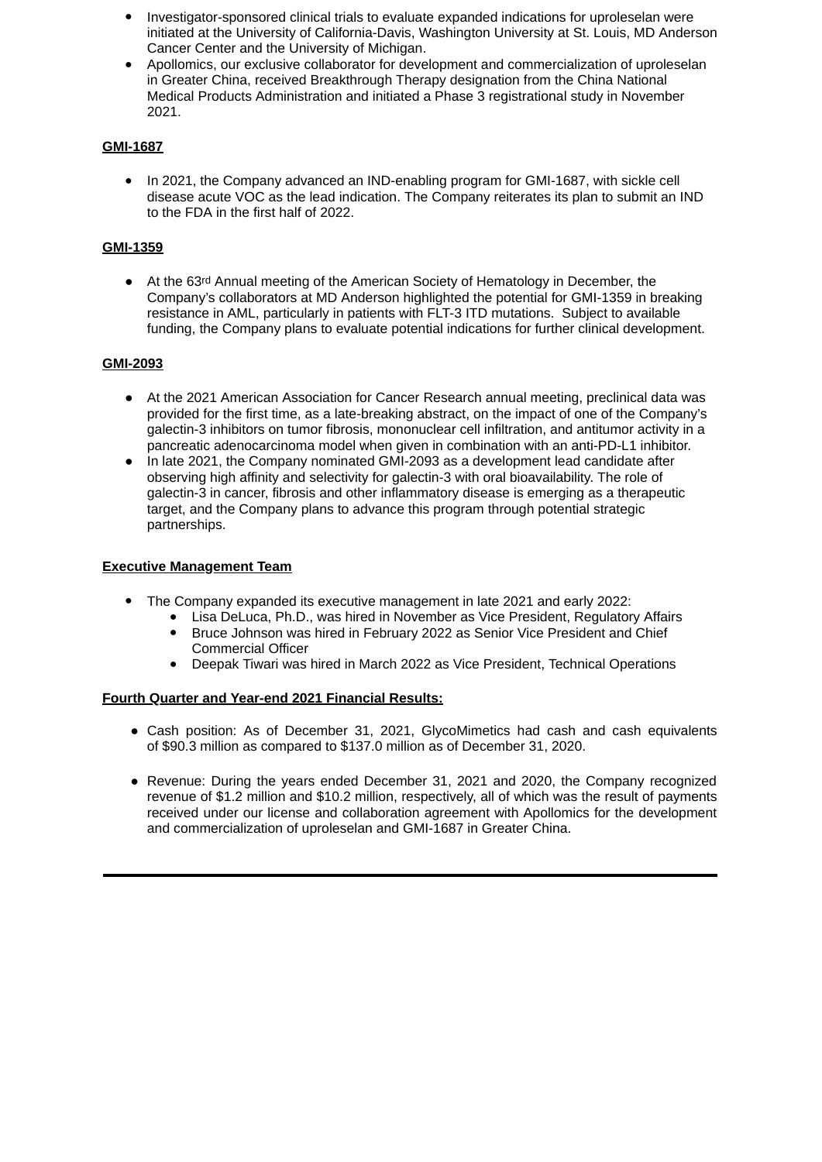- Investigator-sponsored clinical trials to evaluate expanded indications for uproleselan were initiated at the University of California-Davis, Washington University at St. Louis, MD Anderson Cancer Center and the University of Michigan.
- Apollomics, our exclusive collaborator for development and commercialization of uproleselan in Greater China, received Breakthrough Therapy designation from the China National Medical Products Administration and initiated a Phase 3 registrational study in November 2021.

## **GMI-1687**

• In 2021, the Company advanced an IND-enabling program for GMI-1687, with sickle cell disease acute VOC as the lead indication. The Company reiterates its plan to submit an IND to the FDA in the first half of 2022.

# **GMI-1359**

● At the 63rd Annual meeting of the American Society of Hematology in December, the Company's collaborators at MD Anderson highlighted the potential for GMI-1359 in breaking resistance in AML, particularly in patients with FLT-3 ITD mutations. Subject to available funding, the Company plans to evaluate potential indications for further clinical development.

# **GMI-2093**

- At the 2021 American Association for Cancer Research annual meeting, preclinical data was provided for the first time, as a late-breaking abstract, on the impact of one of the Company's galectin-3 inhibitors on tumor fibrosis, mononuclear cell infiltration, and antitumor activity in a pancreatic adenocarcinoma model when given in combination with an anti-PD-L1 inhibitor.
- In late 2021, the Company nominated GMI-2093 as a development lead candidate after observing high affinity and selectivity for galectin-3 with oral bioavailability. The role of galectin-3 in cancer, fibrosis and other inflammatory disease is emerging as a therapeutic target, and the Company plans to advance this program through potential strategic partnerships.

## **Executive Management Team**

- The Company expanded its executive management in late 2021 and early 2022:
	- Lisa DeLuca, Ph.D., was hired in November as Vice President, Regulatory Affairs ● Bruce Johnson was hired in February 2022 as Senior Vice President and Chief Commercial Officer
	- Deepak Tiwari was hired in March 2022 as Vice President, Technical Operations

## **Fourth Quarter and Year-end 2021 Financial Results:**

- Cash position: As of December 31, 2021, GlycoMimetics had cash and cash equivalents of \$90.3 million as compared to \$137.0 million as of December 31, 2020.
- Revenue: During the years ended December 31, 2021 and 2020, the Company recognized revenue of \$1.2 million and \$10.2 million, respectively, all of which was the result of payments received under our license and collaboration agreement with Apollomics for the development and commercialization of uproleselan and GMI-1687 in Greater China.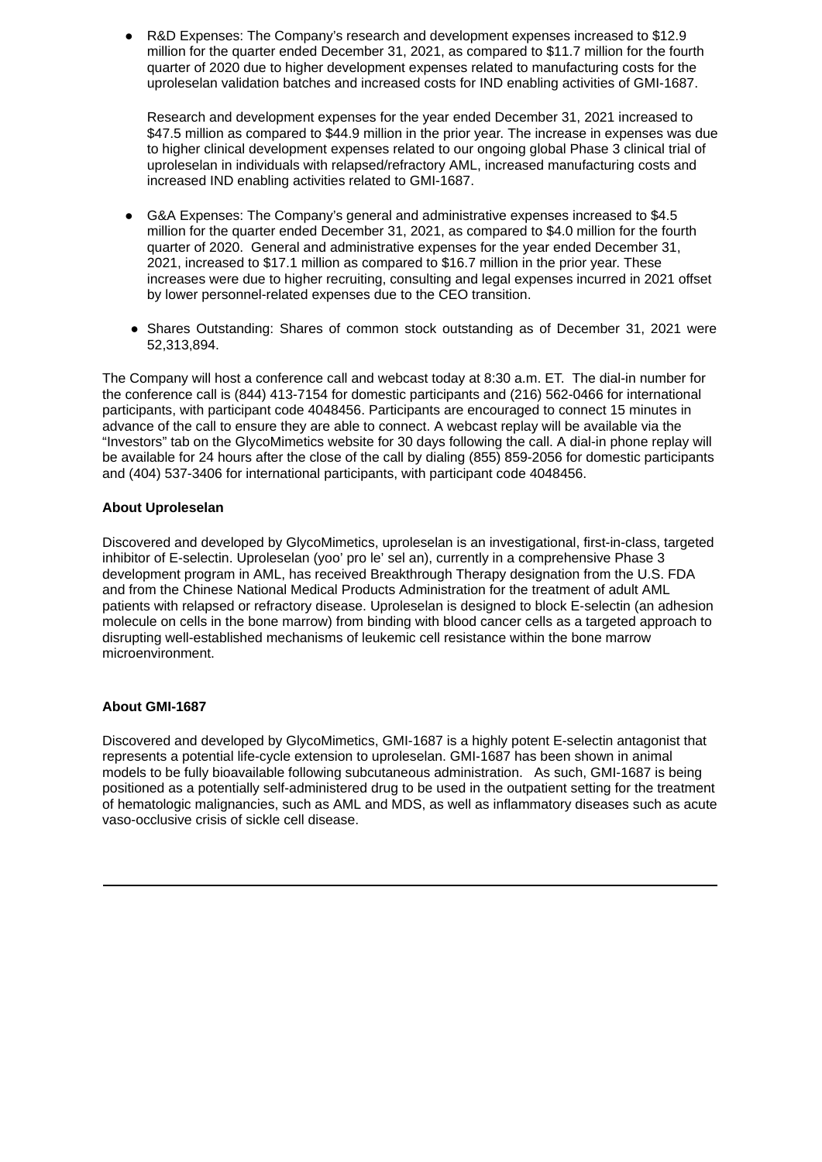R&D Expenses: The Company's research and development expenses increased to \$12.9 million for the quarter ended December 31, 2021, as compared to \$11.7 million for the fourth quarter of 2020 due to higher development expenses related to manufacturing costs for the uproleselan validation batches and increased costs for IND enabling activities of GMI-1687.

Research and development expenses for the year ended December 31, 2021 increased to \$47.5 million as compared to \$44.9 million in the prior year. The increase in expenses was due to higher clinical development expenses related to our ongoing global Phase 3 clinical trial of uproleselan in individuals with relapsed/refractory AML, increased manufacturing costs and increased IND enabling activities related to GMI-1687.

- G&A Expenses: The Company's general and administrative expenses increased to \$4.5 million for the quarter ended December 31, 2021, as compared to \$4.0 million for the fourth quarter of 2020. General and administrative expenses for the year ended December 31, 2021, increased to \$17.1 million as compared to \$16.7 million in the prior year. These increases were due to higher recruiting, consulting and legal expenses incurred in 2021 offset by lower personnel-related expenses due to the CEO transition.
- Shares Outstanding: Shares of common stock outstanding as of December 31, 2021 were 52,313,894.

The Company will host a conference call and webcast today at 8:30 a.m. ET. The dial-in number for the conference call is (844) 413-7154 for domestic participants and (216) 562-0466 for international participants, with participant code 4048456. Participants are encouraged to connect 15 minutes in advance of the call to ensure they are able to connect. A webcast replay will be available via the "Investors" tab on the GlycoMimetics website for 30 days following the call. A dial-in phone replay will be available for 24 hours after the close of the call by dialing (855) 859-2056 for domestic participants and (404) 537-3406 for international participants, with participant code 4048456.

#### **About Uproleselan**

Discovered and developed by GlycoMimetics, uproleselan is an investigational, first-in-class, targeted inhibitor of E-selectin. Uproleselan (yoo' pro le' sel an), currently in a comprehensive Phase 3 development program in AML, has received Breakthrough Therapy designation from the U.S. FDA and from the Chinese National Medical Products Administration for the treatment of adult AML patients with relapsed or refractory disease. Uproleselan is designed to block E-selectin (an adhesion molecule on cells in the bone marrow) from binding with blood cancer cells as a targeted approach to disrupting well-established mechanisms of leukemic cell resistance within the bone marrow microenvironment.

#### **About GMI-1687**

Discovered and developed by GlycoMimetics, GMI-1687 is a highly potent E-selectin antagonist that represents a potential life-cycle extension to uproleselan. GMI-1687 has been shown in animal models to be fully bioavailable following subcutaneous administration. As such, GMI-1687 is being positioned as a potentially self-administered drug to be used in the outpatient setting for the treatment of hematologic malignancies, such as AML and MDS, as well as inflammatory diseases such as acute vaso-occlusive crisis of sickle cell disease.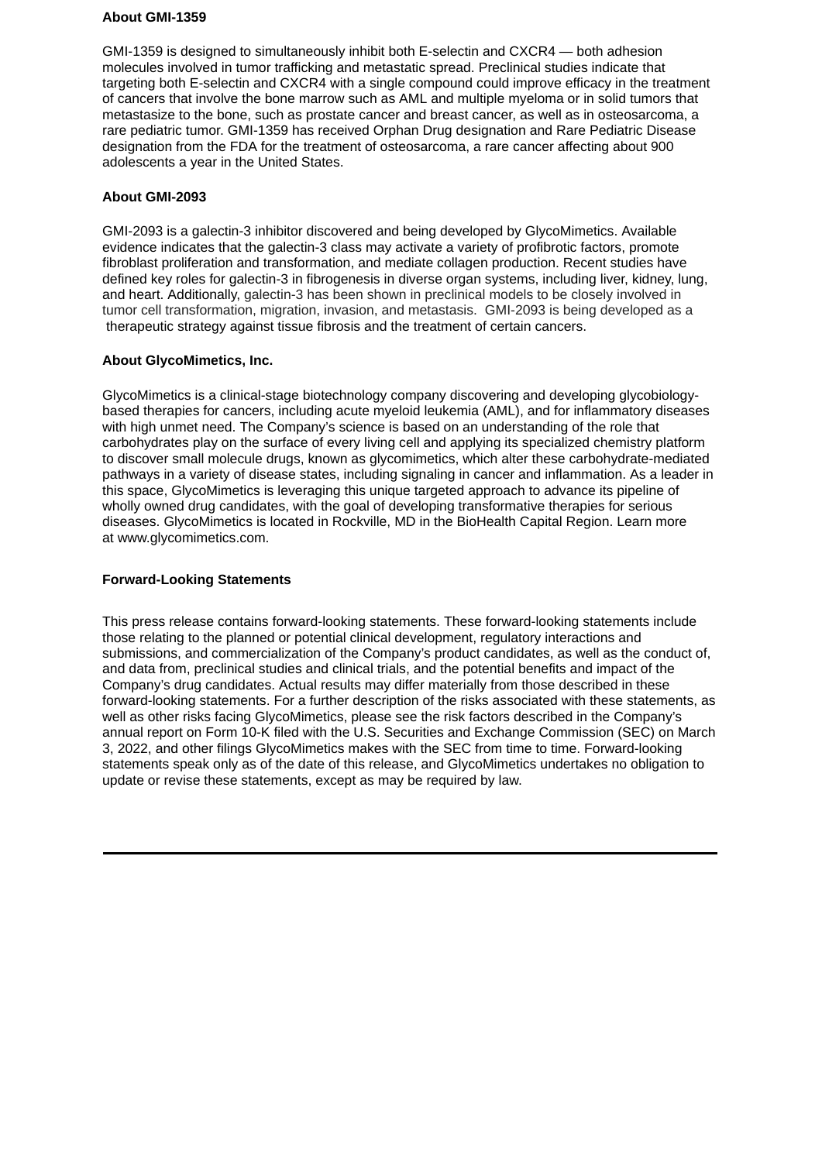### **About GMI-1359**

GMI-1359 is designed to simultaneously inhibit both E-selectin and CXCR4 — both adhesion molecules involved in tumor trafficking and metastatic spread. Preclinical studies indicate that targeting both E-selectin and CXCR4 with a single compound could improve efficacy in the treatment of cancers that involve the bone marrow such as AML and multiple myeloma or in solid tumors that metastasize to the bone, such as prostate cancer and breast cancer, as well as in osteosarcoma, a rare pediatric tumor. GMI-1359 has received Orphan Drug designation and Rare Pediatric Disease designation from the FDA for the treatment of osteosarcoma, a rare cancer affecting about 900 adolescents a year in the United States.

## **About GMI-2093**

GMI-2093 is a galectin-3 inhibitor discovered and being developed by GlycoMimetics. Available evidence indicates that the galectin-3 class may activate a variety of profibrotic factors, promote fibroblast proliferation and transformation, and mediate collagen production. Recent studies have defined key roles for galectin-3 in fibrogenesis in diverse organ systems, including liver, kidney, lung, and heart. Additionally, galectin-3 has been shown in preclinical models to be closely involved in tumor cell transformation, migration, invasion, and metastasis. GMI-2093 is being developed as a therapeutic strategy against tissue fibrosis and the treatment of certain cancers.

## **About GlycoMimetics, Inc.**

GlycoMimetics is a clinical-stage biotechnology company discovering and developing glycobiologybased therapies for cancers, including acute myeloid leukemia (AML), and for inflammatory diseases with high unmet need. The Company's science is based on an understanding of the role that carbohydrates play on the surface of every living cell and applying its specialized chemistry platform to discover small molecule drugs, known as glycomimetics, which alter these carbohydrate-mediated pathways in a variety of disease states, including signaling in cancer and inflammation. As a leader in this space, GlycoMimetics is leveraging this unique targeted approach to advance its pipeline of wholly owned drug candidates, with the goal of developing transformative therapies for serious diseases. GlycoMimetics is located in Rockville, MD in the BioHealth Capital Region. Learn more at www.glycomimetics.com.

## **Forward-Looking Statements**

This press release contains forward-looking statements. These forward-looking statements include those relating to the planned or potential clinical development, regulatory interactions and submissions, and commercialization of the Company's product candidates, as well as the conduct of, and data from, preclinical studies and clinical trials, and the potential benefits and impact of the Company's drug candidates. Actual results may differ materially from those described in these forward-looking statements. For a further description of the risks associated with these statements, as well as other risks facing GlycoMimetics, please see the risk factors described in the Company's annual report on Form 10-K filed with the U.S. Securities and Exchange Commission (SEC) on March 3, 2022, and other filings GlycoMimetics makes with the SEC from time to time. Forward-looking statements speak only as of the date of this release, and GlycoMimetics undertakes no obligation to update or revise these statements, except as may be required by law.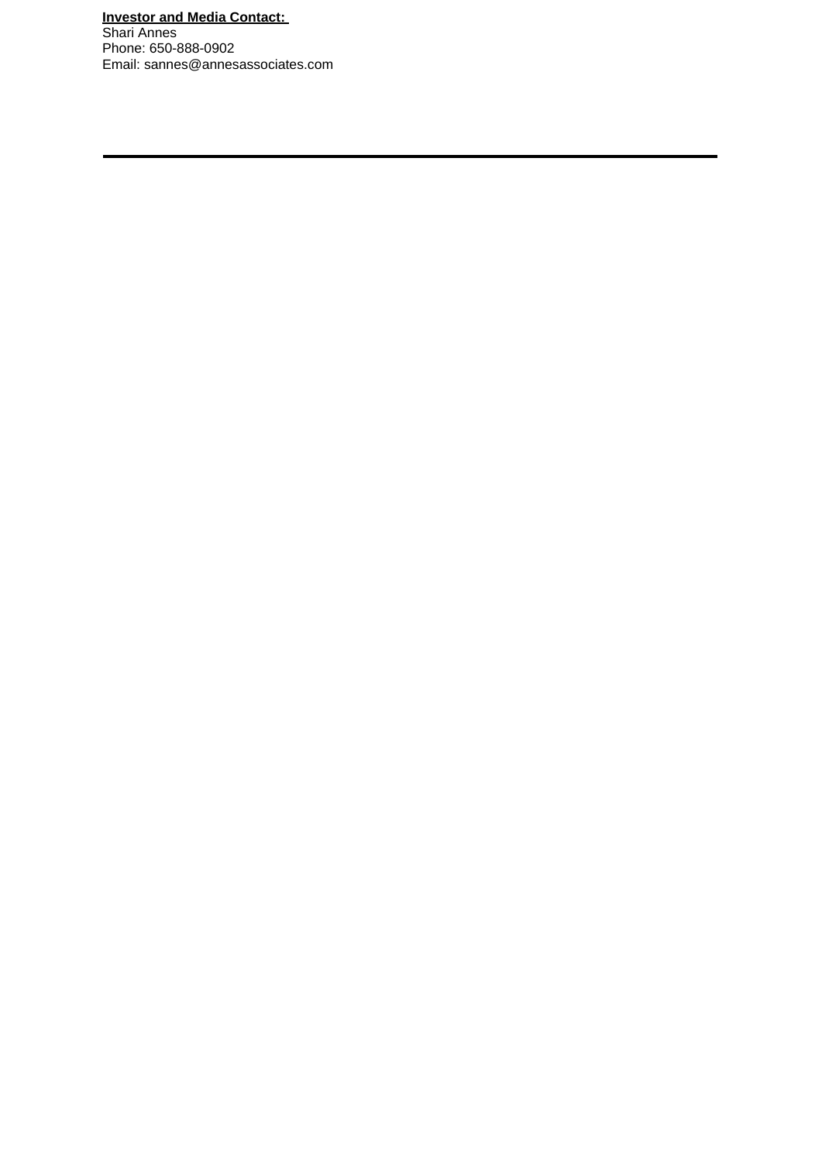# **Investor and Media Contact:**

Shari Annes Phone: 650-888-0902 Email: sannes@annesassociates.com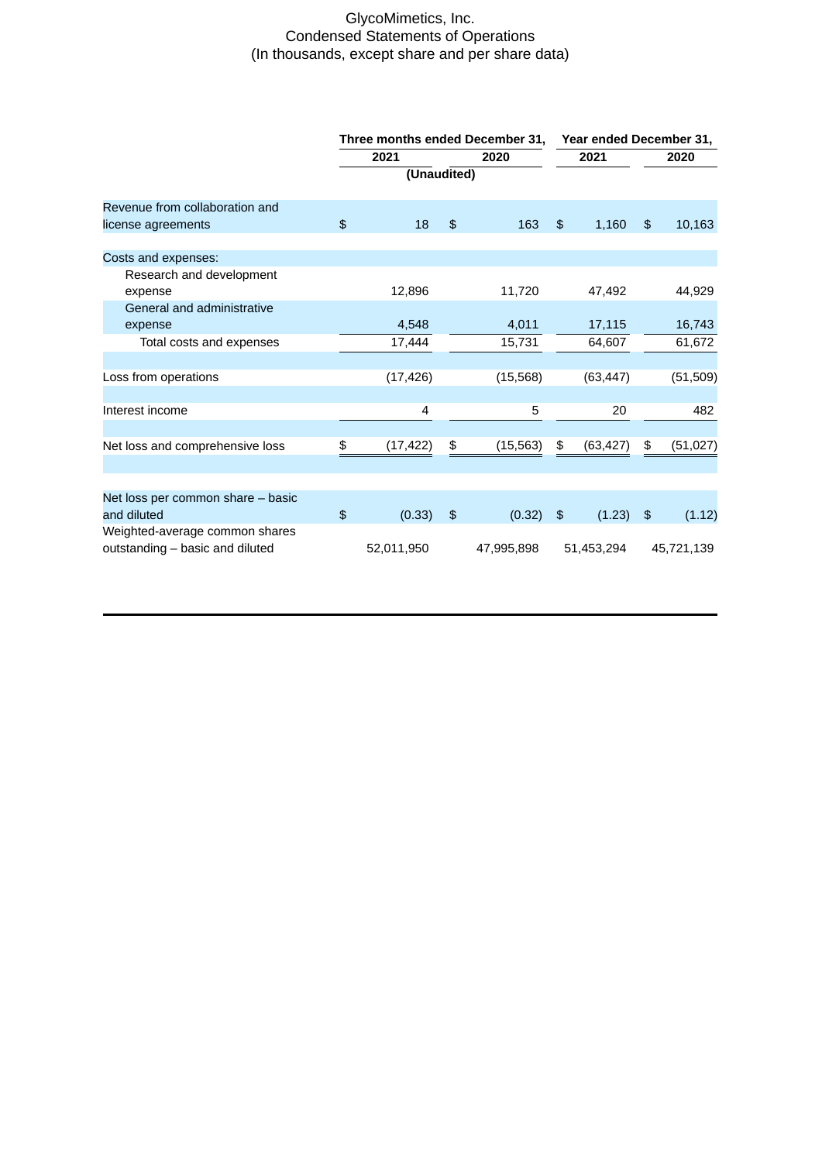# GlycoMimetics, Inc. Condensed Statements of Operations (In thousands, except share and per share data)

|                                                                   | Three months ended December 31, |             |                | Year ended December 31, |                |            |                |            |
|-------------------------------------------------------------------|---------------------------------|-------------|----------------|-------------------------|----------------|------------|----------------|------------|
|                                                                   |                                 | 2021        |                | 2020                    |                | 2021       | 2020           |            |
|                                                                   |                                 | (Unaudited) |                |                         |                |            |                |            |
| Revenue from collaboration and                                    |                                 |             |                |                         |                |            |                |            |
| license agreements                                                | $\mathfrak{D}$                  | 18          | $\mathfrak{P}$ | 163                     | $\mathfrak{P}$ | 1,160      | $\mathfrak{P}$ | 10,163     |
| Costs and expenses:                                               |                                 |             |                |                         |                |            |                |            |
| Research and development                                          |                                 |             |                |                         |                |            |                |            |
| expense                                                           |                                 | 12,896      |                | 11,720                  |                | 47,492     |                | 44,929     |
| General and administrative<br>expense                             |                                 | 4.548       |                | 4.011                   |                | 17,115     |                | 16,743     |
| Total costs and expenses                                          |                                 | 17,444      |                | 15,731                  |                | 64,607     |                | 61,672     |
|                                                                   |                                 |             |                |                         |                |            |                |            |
| Loss from operations                                              |                                 | (17, 426)   |                | (15, 568)               |                | (63, 447)  |                | (51, 509)  |
| Interest income                                                   |                                 | 4           |                | 5                       |                | 20         |                | 482        |
|                                                                   |                                 |             |                |                         |                |            |                |            |
| Net loss and comprehensive loss                                   | \$                              | (17, 422)   | \$             | (15, 563)               | \$             | (63, 427)  | \$             | (51,027)   |
|                                                                   |                                 |             |                |                         |                |            |                |            |
| Net loss per common share - basic                                 |                                 |             |                |                         |                |            |                |            |
| and diluted                                                       | $\mathfrak{P}$                  | (0.33)      | $\frac{4}{5}$  | (0.32)                  | $\frac{1}{2}$  | (1.23)     | $\frac{4}{5}$  | (1.12)     |
| Weighted-average common shares<br>outstanding - basic and diluted |                                 | 52,011,950  |                | 47,995,898              |                | 51,453,294 |                | 45,721,139 |
|                                                                   |                                 |             |                |                         |                |            |                |            |